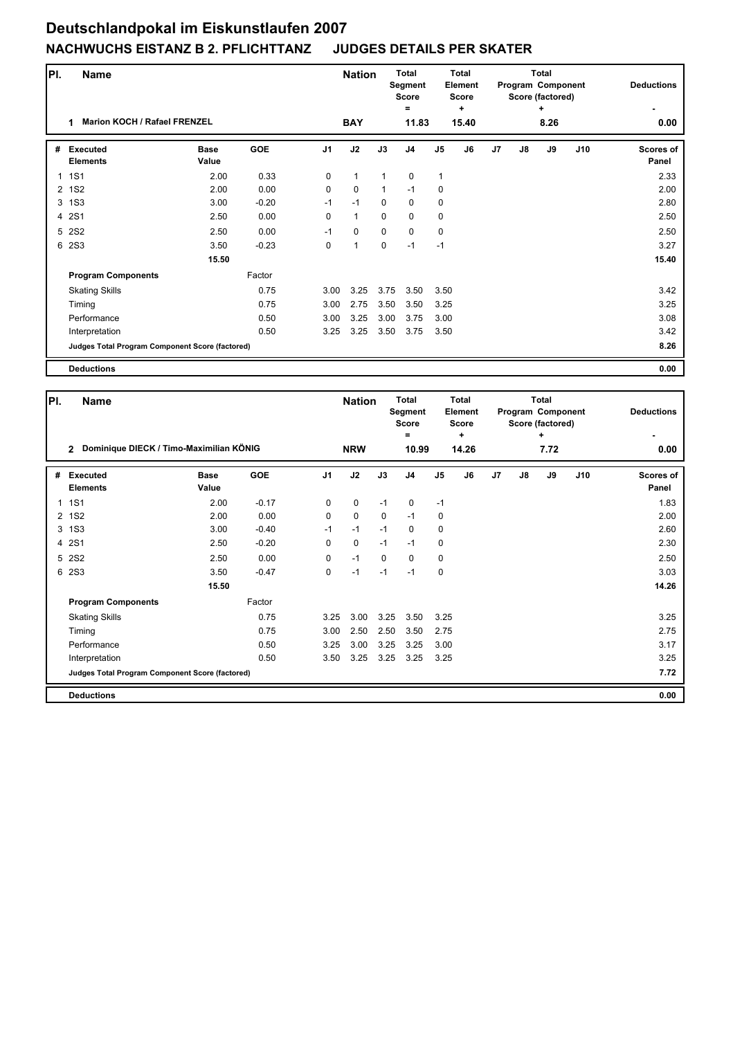## **Deutschlandpokal im Eiskunstlaufen 2007 NACHWUCHS EISTANZ B 2. PFLICHTTANZ JUDGES DETAILS PER SKATER**

| PI.            | <b>Name</b>                                     |                      |            |                | <b>Nation</b> |             | <b>Total</b><br>Segment<br><b>Score</b><br>$\equiv$ |                | <b>Total</b><br>Element<br><b>Score</b><br>÷ |                | <b>Total</b><br>Program Component<br>Score (factored) | <b>Deductions</b> |     |                           |
|----------------|-------------------------------------------------|----------------------|------------|----------------|---------------|-------------|-----------------------------------------------------|----------------|----------------------------------------------|----------------|-------------------------------------------------------|-------------------|-----|---------------------------|
|                | <b>Marion KOCH / Rafael FRENZEL</b><br>1        |                      |            |                | <b>BAY</b>    |             | 11.83                                               |                | 15.40                                        |                |                                                       | 8.26              |     | 0.00                      |
| #              | <b>Executed</b><br><b>Elements</b>              | <b>Base</b><br>Value | <b>GOE</b> | J <sub>1</sub> | J2            | J3          | J <sub>4</sub>                                      | J <sub>5</sub> | J6                                           | J <sub>7</sub> | $\mathsf{J}8$                                         | J9                | J10 | <b>Scores of</b><br>Panel |
| $\mathbf{1}$   | <b>1S1</b>                                      | 2.00                 | 0.33       | $\Omega$       | $\mathbf{1}$  | 1           | $\mathbf 0$                                         | $\mathbf{1}$   |                                              |                |                                                       |                   |     | 2.33                      |
| $\overline{2}$ | <b>1S2</b>                                      | 2.00                 | 0.00       | 0              | $\mathbf 0$   | 1           | $-1$                                                | 0              |                                              |                |                                                       |                   |     | 2.00                      |
| 3              | <b>1S3</b>                                      | 3.00                 | $-0.20$    | $-1$           | $-1$          | $\Omega$    | $\mathbf 0$                                         | 0              |                                              |                |                                                       |                   |     | 2.80                      |
| 4              | <b>2S1</b>                                      | 2.50                 | 0.00       | $\Omega$       | $\mathbf{1}$  | $\mathbf 0$ | $\mathbf 0$                                         | 0              |                                              |                |                                                       |                   |     | 2.50                      |
| 5              | <b>2S2</b>                                      | 2.50                 | 0.00       | $-1$           | $\mathbf 0$   | $\mathbf 0$ | $\mathbf 0$                                         | 0              |                                              |                |                                                       |                   |     | 2.50                      |
| 6              | <b>2S3</b>                                      | 3.50                 | $-0.23$    | 0              | $\mathbf{1}$  | 0           | $-1$                                                | $-1$           |                                              |                |                                                       |                   |     | 3.27                      |
|                |                                                 | 15.50                |            |                |               |             |                                                     |                |                                              |                |                                                       |                   |     | 15.40                     |
|                | <b>Program Components</b>                       |                      | Factor     |                |               |             |                                                     |                |                                              |                |                                                       |                   |     |                           |
|                | <b>Skating Skills</b>                           |                      | 0.75       | 3.00           | 3.25          | 3.75        | 3.50                                                | 3.50           |                                              |                |                                                       |                   |     | 3.42                      |
|                | Timing                                          |                      | 0.75       | 3.00           | 2.75          | 3.50        | 3.50                                                | 3.25           |                                              |                |                                                       |                   |     | 3.25                      |
|                | Performance                                     |                      | 0.50       | 3.00           | 3.25          | 3.00        | 3.75                                                | 3.00           |                                              |                |                                                       |                   |     | 3.08                      |
|                | Interpretation                                  |                      | 0.50       | 3.25           | 3.25          | 3.50        | 3.75                                                | 3.50           |                                              |                |                                                       |                   |     | 3.42                      |
|                | Judges Total Program Component Score (factored) |                      |            |                |               |             |                                                     |                |                                              |                |                                                       |                   |     | 8.26                      |
|                | <b>Deductions</b>                               |                      |            |                |               |             |                                                     |                |                                              |                |                                                       |                   |     | 0.00                      |

| PI. | Name                                                      |                      | <b>Nation</b> |                | <b>Total</b><br>Segment<br><b>Score</b><br>Ξ | <b>Total</b><br>Element<br><b>Score</b><br>÷<br>14.26 |                |                |       | <b>Total</b><br>Program Component<br>Score (factored)<br>÷ |    | <b>Deductions</b> |     |                           |
|-----|-----------------------------------------------------------|----------------------|---------------|----------------|----------------------------------------------|-------------------------------------------------------|----------------|----------------|-------|------------------------------------------------------------|----|-------------------|-----|---------------------------|
|     | Dominique DIECK / Timo-Maximilian KÖNIG<br>$\overline{2}$ |                      |               |                | <b>NRW</b>                                   |                                                       |                |                | 10.99 | 7.72                                                       |    |                   |     | 0.00                      |
| #   | <b>Executed</b><br><b>Elements</b>                        | <b>Base</b><br>Value | <b>GOE</b>    | J <sub>1</sub> | J2                                           | J3                                                    | J <sub>4</sub> | J <sub>5</sub> | J6    | J <sub>7</sub>                                             | J8 | J9                | J10 | <b>Scores of</b><br>Panel |
| 1   | <b>1S1</b>                                                | 2.00                 | $-0.17$       | 0              | $\mathbf 0$                                  | $-1$                                                  | $\mathbf 0$    | $-1$           |       |                                                            |    |                   |     | 1.83                      |
| 2   | <b>1S2</b>                                                | 2.00                 | 0.00          | 0              | $\mathbf 0$                                  | $\mathbf 0$                                           | $-1$           | 0              |       |                                                            |    |                   |     | 2.00                      |
| 3   | <b>1S3</b>                                                | 3.00                 | $-0.40$       | $-1$           | $-1$                                         | $-1$                                                  | 0              | 0              |       |                                                            |    |                   |     | 2.60                      |
|     | 4 2S1                                                     | 2.50                 | $-0.20$       | 0              | $\mathbf 0$                                  | $-1$                                                  | $-1$           | 0              |       |                                                            |    |                   |     | 2.30                      |
| 5   | <b>2S2</b>                                                | 2.50                 | 0.00          | 0              | $-1$                                         | $\Omega$                                              | $\Omega$       | 0              |       |                                                            |    |                   |     | 2.50                      |
|     | 6 2S3                                                     | 3.50                 | $-0.47$       | 0              | $-1$                                         | $-1$                                                  | $-1$           | $\mathbf 0$    |       |                                                            |    |                   |     | 3.03                      |
|     |                                                           | 15.50                |               |                |                                              |                                                       |                |                |       |                                                            |    |                   |     | 14.26                     |
|     | <b>Program Components</b>                                 |                      | Factor        |                |                                              |                                                       |                |                |       |                                                            |    |                   |     |                           |
|     | <b>Skating Skills</b>                                     |                      | 0.75          | 3.25           | 3.00                                         | 3.25                                                  | 3.50           | 3.25           |       |                                                            |    |                   |     | 3.25                      |
|     | Timing                                                    |                      | 0.75          | 3.00           | 2.50                                         | 2.50                                                  | 3.50           | 2.75           |       |                                                            |    |                   |     | 2.75                      |
|     | Performance                                               |                      | 0.50          | 3.25           | 3.00                                         | 3.25                                                  | 3.25           | 3.00           |       |                                                            |    |                   |     | 3.17                      |
|     | Interpretation                                            |                      | 0.50          | 3.50           | 3.25                                         | 3.25                                                  | 3.25           | 3.25           |       |                                                            |    |                   |     | 3.25                      |
|     | Judges Total Program Component Score (factored)           |                      |               |                |                                              |                                                       |                |                |       |                                                            |    |                   |     | 7.72                      |
|     | <b>Deductions</b>                                         |                      |               |                |                                              |                                                       |                |                |       |                                                            |    |                   |     | 0.00                      |